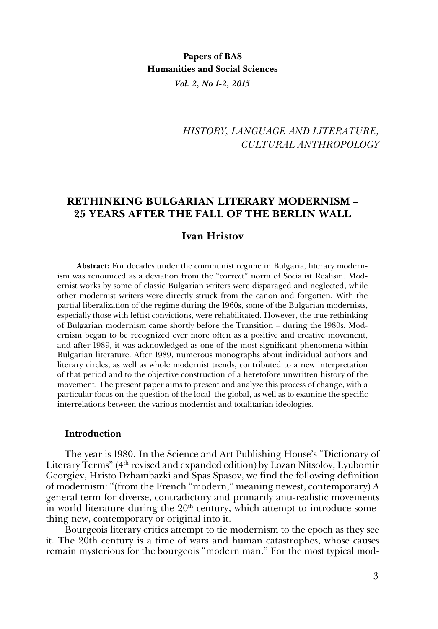## **Papers of BAS Humanities and Social Sciences** *Vol. 2, No 1-2, 2015*

# *HISTORY, LANGUAGE AND LITERATURE, CULTURAL ANTHROPOLOGY*

### **RETHINKING BULGARIAN LITERARY MODERNISM – 25 YEARS AFTER THE FALL OF THE BERLIN WALL**

### **Ivan Hristov**

**Abstract:** For decades under the communist regime in Bulgaria, literary modernism was renounced as a deviation from the "correct" norm of Socialist Realism. Modernist works by some of classic Bulgarian writers were disparaged and neglected, while other modernist writers were directly struck from the canon and forgotten. With the partial liberalization of the regime during the 1960s, some of the Bulgarian modernists, especially those with leftist convictions, were rehabilitated. However, the true rethinking of Bulgarian modernism came shortly before the Transition – during the 1980s. Modernism began to be recognized ever more often as a positive and creative movement, and after 1989, it was acknowledged as one of the most significant phenomena within Bulgarian literature. After 1989, numerous monographs about individual authors and literary circles, as well as whole modernist trends, contributed to a new interpretation of that period and to the objective construction of a heretofore unwritten history of the movement. The present paper aims to present and analyze this process of change, with a particular focus on the question of the local–the global, as well as to examine the specific interrelations between the various modernist and totalitarian ideologies.

#### **Introduction**

The year is 1980. In the Science and Art Publishing House's "Dictionary of Literary Terms" (4th revised and expanded edition) by Lozan Nitsolov, Lyubomir Georgiev, Hristo Dzhambazki and Spas Spasov, we find the following definition of modernism: "(from the French "modern," meaning newest, contemporary) A general term for diverse, contradictory and primarily anti-realistic movements in world literature during the  $20<sup>th</sup>$  century, which attempt to introduce something new, contemporary or original into it.

Bourgeois literary critics attempt to tie modernism to the epoch as they see it. The 20th century is a time of wars and human catastrophes, whose causes remain mysterious for the bourgeois "modern man." For the most typical mod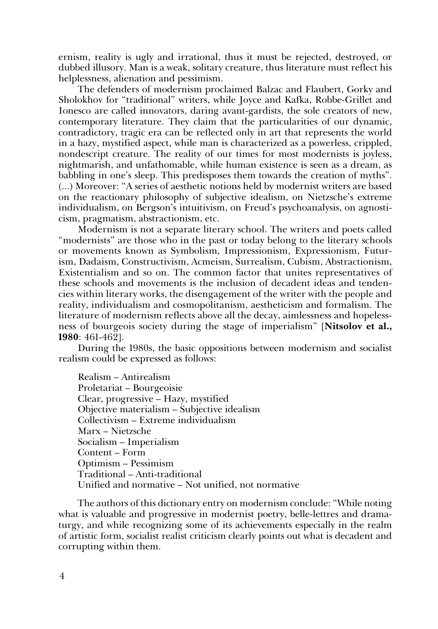ernism, reality is ugly and irrational, thus it must be rejected, destroyed, or dubbed illusory. Man is a weak, solitary creature, thus literature must reflect his helplessness, alienation and pessimism.

The defenders of modernism proclaimed Balzac and Flaubert, Gorky and Sholokhov for "traditional" writers, while Joyce and Kafka, Robbe-Grillet and Ionesco are called innovators, daring avant-gardists, the sole creators of new, contemporary literature. They claim that the particularities of our dynamic, contradictory, tragic era can be reflected only in art that represents the world in a hazy, mystified aspect, while man is characterized as a powerless, crippled, nondescript creature. The reality of our times for most modernists is joyless, nightmarish, and unfathomable, while human existence is seen as a dream, as babbling in one's sleep. This predisposes them towards the creation of myths". (...) Moreover: "A series of aesthetic notions held by modernist writers are based on the reactionary philosophy of subjective idealism, on Nietzsche's extreme individualism, on Bergson's intuitivism, on Freud's psychoanalysis, on agnosticism, pragmatism, abstractionism, etc.

Modernism is not a separate literary school. The writers and poets called "modernists" are those who in the past or today belong to the literary schools or movements known as Symbolism, Impressionism, Expressionism, Futurism, Dadaism, Constructivism, Acmeism, Surrealism, Cubism, Abstractionism, Existentialism and so on. The common factor that unites representatives of these schools and movements is the inclusion of decadent ideas and tendencies within literary works, the disengagement of the writer with the people and reality, individualism and cosmopolitanism, aestheticism and formalism. The literature of modernism reflects above all the decay, aimlessness and hopelessness of bourgeois society during the stage of imperialism" [**Nitsolov et al., 1980**: 461-462].

During the 1980s, the basic oppositions between modernism and socialist realism could be expressed as follows:

Realism – Antirealism Proletariat – Bourgeoisie Clear, progressive – Hazy, mystified Objective materialism – Subjective idealism Collectivism – Extreme individualism Marx – Nietzsche Socialism – Imperialism Content – Form Optimism – Pessimism Traditional – Anti-traditional Unified and normative – Not unified, not normative

The authors of this dictionary entry on modernism conclude: "While noting what is valuable and progressive in modernist poetry, belle-lettres and dramaturgy, and while recognizing some of its achievements especially in the realm of artistic form, socialist realist criticism clearly points out what is decadent and corrupting within them.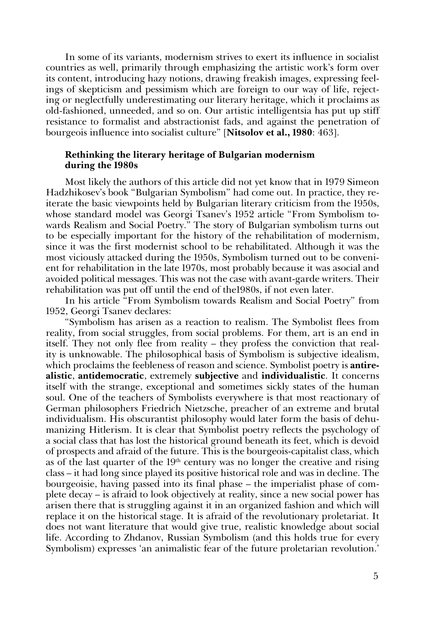In some of its variants, modernism strives to exert its influence in socialist countries as well, primarily through emphasizing the artistic work's form over its content, introducing hazy notions, drawing freakish images, expressing feelings of skepticism and pessimism which are foreign to our way of life, rejecting or neglectfully underestimating our literary heritage, which it proclaims as old-fashioned, unneeded, and so on. Our artistic intelligentsia has put up stiff resistance to formalist and abstractionist fads, and against the penetration of bourgeois influence into socialist culture" [**Nitsolov et al., 1980**: 463].

### **Rethinking the literary heritage of Bulgarian modernism during the 1980s**

Most likely the authors of this article did not yet know that in 1979 Simeon Hadzhikosev's book "Bulgarian Symbolism" had come out. In practice, they reiterate the basic viewpoints held by Bulgarian literary criticism from the 1950s, whose standard model was Georgi Tsanev's 1952 article "From Symbolism towards Realism and Social Poetry." The story of Bulgarian symbolism turns out to be especially important for the history of the rehabilitation of modernism, since it was the first modernist school to be rehabilitated. Although it was the most viciously attacked during the 1950s, Symbolism turned out to be convenient for rehabilitation in the late 1970s, most probably because it was asocial and avoided political messages. This was not the case with avant-garde writers. Their rehabilitation was put off until the end of the1980s, if not even later.

In his article "From Symbolism towards Realism and Social Poetry" from 1952, Georgi Tsanev declares:

"Symbolism has arisen as a reaction to realism. The Symbolist flees from reality, from social struggles, from social problems. For them, art is an end in itself. They not only flee from reality – they profess the conviction that reality is unknowable. The philosophical basis of Symbolism is subjective idealism, which proclaims the feebleness of reason and science. Symbolist poetry is **antirealistic**, **antidemocratic**, extremely **subjective** and **individualistic**. It concerns itself with the strange, exceptional and sometimes sickly states of the human soul. One of the teachers of Symbolists everywhere is that most reactionary of German philosophers Friedrich Nietzsche, preacher of an extreme and brutal individualism. His obscurantist philosophy would later form the basis of dehumanizing Hitlerism. It is clear that Symbolist poetry reflects the psychology of a social class that has lost the historical ground beneath its feet, which is devoid of prospects and afraid of the future. This is the bourgeois-capitalist class, which as of the last quarter of the  $19<sup>th</sup>$  century was no longer the creative and rising class – it had long since played its positive historical role and was in decline. The bourgeoisie, having passed into its final phase – the imperialist phase of complete decay – is afraid to look objectively at reality, since a new social power has arisen there that is struggling against it in an organized fashion and which will replace it on the historical stage. It is afraid of the revolutionary proletariat. It does not want literature that would give true, realistic knowledge about social life. According to Zhdanov, Russian Symbolism (and this holds true for every Symbolism) expresses 'an animalistic fear of the future proletarian revolution.'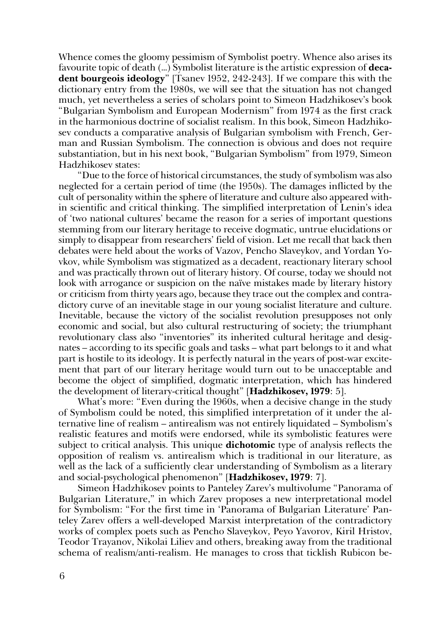Whence comes the gloomy pessimism of Symbolist poetry. Whence also arises its favourite topic of death (…) Symbolist literature is the artistic expression of **decadent bourgeois ideology**" [Tsanev 1952, 242-243]. If we compare this with the dictionary entry from the 1980s, we will see that the situation has not changed much, yet nevertheless a series of scholars point to Simeon Hadzhikosev's book "Bulgarian Symbolism and European Modernism" from 1974 as the first crack in the harmonious doctrine of socialist realism. In this book, Simeon Hadzhikosev conducts a comparative analysis of Bulgarian symbolism with French, German and Russian Symbolism. The connection is obvious and does not require substantiation, but in his next book, "Bulgarian Symbolism" from 1979, Simeon Hadzhikosev states:

"Due to the force of historical circumstances, the study of symbolism was also neglected for a certain period of time (the 1950s). The damages inflicted by the cult of personality within the sphere of literature and culture also appeared within scientific and critical thinking. The simplified interpretation of Lenin's idea of 'two national cultures' became the reason for a series of important questions stemming from our literary heritage to receive dogmatic, untrue elucidations or simply to disappear from researchers' field of vision. Let me recall that back then debates were held about the works of Vazov, Pencho Slaveykov, and Yordan Yovkov, while Symbolism was stigmatized as a decadent, reactionary literary school and was practically thrown out of literary history. Of course, today we should not look with arrogance or suspicion on the naïve mistakes made by literary history or criticism from thirty years ago, because they trace out the complex and contradictory curve of an inevitable stage in our young socialist literature and culture. Inevitable, because the victory of the socialist revolution presupposes not only economic and social, but also cultural restructuring of society; the triumphant revolutionary class also "inventories" its inherited cultural heritage and designates – according to its specific goals and tasks – what part belongs to it and what part is hostile to its ideology. It is perfectly natural in the years of post-war excitement that part of our literary heritage would turn out to be unacceptable and become the object of simplified, dogmatic interpretation, which has hindered the development of literary-critical thought" [**Hadzhikosev, 1979**: 5].

What's more: "Even during the 1960s, when a decisive change in the study of Symbolism could be noted, this simplified interpretation of it under the alternative line of realism – antirealism was not entirely liquidated – Symbolism's realistic features and motifs were endorsed, while its symbolistic features were subject to critical analysis. This unique **dichotomic** type of analysis reflects the opposition of realism vs. antirealism which is traditional in our literature, as well as the lack of a sufficiently clear understanding of Symbolism as a literary and social-psychological phenomenon" [**Hadzhikosev, 1979**: 7].

Simeon Hadzhikosev points to Panteley Zarev's multivolume "Panorama of Bulgarian Literature," in which Zarev proposes a new interpretational model for Symbolism: "For the first time in 'Panorama of Bulgarian Literature' Panteley Zarev offers a well-developed Marxist interpretation of the contradictory works of complex poets such as Pencho Slaveykov, Peyo Yavorov, Kiril Hristov, Teodor Trayanov, Nikolai Liliev and others, breaking away from the traditional schema of realism/anti-realism. He manages to cross that ticklish Rubicon be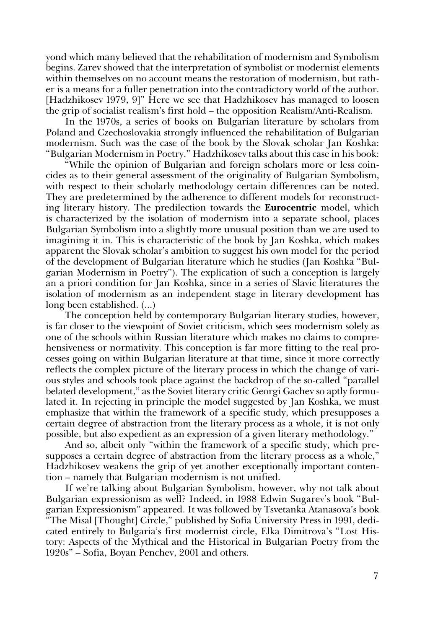yond which many believed that the rehabilitation of modernism and Symbolism begins. Zarev showed that the interpretation of symbolist or modernist elements within themselves on no account means the restoration of modernism, but rather is a means for a fuller penetration into the contradictory world of the author. [Hadzhikosev 1979, 9]" Here we see that Hadzhikosev has managed to loosen the grip of socialist realism's first hold – the opposition Realism/Anti-Realism.

In the 1970s, a series of books on Bulgarian literature by scholars from Poland and Czechoslovakia strongly influenced the rehabilitation of Bulgarian modernism. Such was the case of the book by the Slovak scholar Jan Koshka: "Bulgarian Modernism in Poetry." Hadzhikosev talks about this case in his book:

"While the opinion of Bulgarian and foreign scholars more or less coincides as to their general assessment of the originality of Bulgarian Symbolism, with respect to their scholarly methodology certain differences can be noted. They are predetermined by the adherence to different models for reconstructing literary history. The predilection towards the **Eurocentric** model, which is characterized by the isolation of modernism into a separate school, places Bulgarian Symbolism into a slightly more unusual position than we are used to imagining it in. This is characteristic of the book by Jan Koshka, which makes apparent the Slovak scholar's ambition to suggest his own model for the period of the development of Bulgarian literature which he studies (Jan Koshka "Bulgarian Modernism in Poetry"). The explication of such a conception is largely an a priori condition for Jan Koshka, since in a series of Slavic literatures the isolation of modernism as an independent stage in literary development has long been established. (...)

The conception held by contemporary Bulgarian literary studies, however, is far closer to the viewpoint of Soviet criticism, which sees modernism solely as one of the schools within Russian literature which makes no claims to comprehensiveness or normativity. This conception is far more fitting to the real processes going on within Bulgarian literature at that time, since it more correctly reflects the complex picture of the literary process in which the change of various styles and schools took place against the backdrop of the so-called "parallel belated development," as the Soviet literary critic Georgi Gachev so aptly formulated it. In rejecting in principle the model suggested by Jan Koshka, we must emphasize that within the framework of a specific study, which presupposes a certain degree of abstraction from the literary process as a whole, it is not only possible, but also expedient as an expression of a given literary methodology."

And so, albeit only "within the framework of a specific study, which presupposes a certain degree of abstraction from the literary process as a whole," Hadzhikosev weakens the grip of yet another exceptionally important contention – namely that Bulgarian modernism is not unified.

If we're talking about Bulgarian Symbolism, however, why not talk about Bulgarian expressionism as well? Indeed, in 1988 Edwin Sugarev's book "Bulgarian Expressionism" appeared. It was followed by Tsvetanka Atanasova's book "The Misal [Thought] Circle," published by Sofia University Press in 1991, dedicated entirely to Bulgaria's first modernist circle, Elka Dimitrova's "Lost History: Aspects of the Mythical and the Historical in Bulgarian Poetry from the 1920s" – Sofia, Boyan Penchev, 2001 and others.